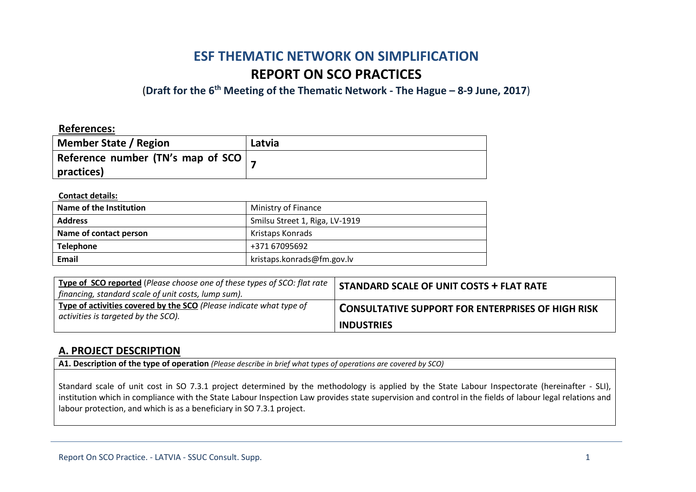# **ESF THEMATIC NETWORK ON SIMPLIFICATION REPORT ON SCO PRACTICES**

(**Draft for the 6th Meeting of the Thematic Network - The Hague – 8-9 June, 2017**)

### **References:**

| <b>Member State / Region</b>                | Latvia |
|---------------------------------------------|--------|
| Reference number (TN's map of SCO $\vert$ , |        |
| practices)                                  |        |

### **Contact details:**

| Name of the Institution | Ministry of Finance            |
|-------------------------|--------------------------------|
| <b>Address</b>          | Smilsu Street 1, Riga, LV-1919 |
| Name of contact person  | Kristaps Konrads               |
| <b>Telephone</b>        | +371 67095692                  |
| Email                   | kristaps.konrads@fm.gov.lv     |

| Type of SCO reported (Please choose one of these types of SCO: flat rate<br>financing, standard scale of unit costs, lump sum). | <b>STANDARD SCALE OF UNIT COSTS + FLAT RATE</b>          |
|---------------------------------------------------------------------------------------------------------------------------------|----------------------------------------------------------|
| Type of activities covered by the SCO (Please indicate what type of<br>activities is targeted by the SCO).                      | <b>CONSULTATIVE SUPPORT FOR ENTERPRISES OF HIGH RISK</b> |
|                                                                                                                                 | <b>INDUSTRIES</b>                                        |

### **A. PROJECT DESCRIPTION**

**A1. Description of the type of operation** *(Please describe in brief what types of operations are covered by SCO)*

Standard scale of unit cost in SO 7.3.1 project determined by the methodology is applied by the State Labour Inspectorate (hereinafter - SLI), institution which in compliance with the State Labour Inspection Law provides state supervision and control in the fields of labour legal relations and labour protection, and which is as a beneficiary in SO 7.3.1 project.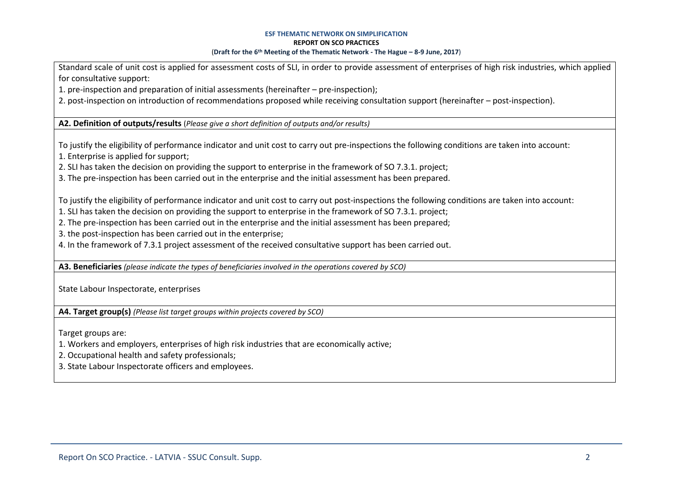#### **ESF THEMATIC NETWORK ON SIMPLIFICATION REPORT ON SCO PRACTICES** (**Draft for the 6th Meeting of the Thematic Network - The Hague – 8-9 June, 2017**)

Standard scale of unit cost is applied for assessment costs of SLI, in order to provide assessment of enterprises of high risk industries, which applied for consultative support:

1. pre-inspection and preparation of initial assessments (hereinafter – pre-inspection);

2. post-inspection on introduction of recommendations proposed while receiving consultation support (hereinafter – post-inspection).

**A2. Definition of outputs/results** (*Please give a short definition of outputs and/or results)*

To justify the eligibility of performance indicator and unit cost to carry out pre-inspections the following conditions are taken into account:

1. Enterprise is applied for support;

2. SLI has taken the decision on providing the support to enterprise in the framework of SO 7.3.1. project;

3. The pre-inspection has been carried out in the enterprise and the initial assessment has been prepared.

To justify the eligibility of performance indicator and unit cost to carry out post-inspections the following conditions are taken into account:

1. SLI has taken the decision on providing the support to enterprise in the framework of SO 7.3.1. project;

2. The pre-inspection has been carried out in the enterprise and the initial assessment has been prepared;

3. the post-inspection has been carried out in the enterprise;

4. In the framework of 7.3.1 project assessment of the received consultative support has been carried out.

**A3. Beneficiaries** *(please indicate the types of beneficiaries involved in the operations covered by SCO)*

State Labour Inspectorate, enterprises

**A4. Target group(s)** *(Please list target groups within projects covered by SCO)*

Target groups are:

1. Workers and employers, enterprises of high risk industries that are economically active;

2. Occupational health and safety professionals;

3. State Labour Inspectorate officers and employees.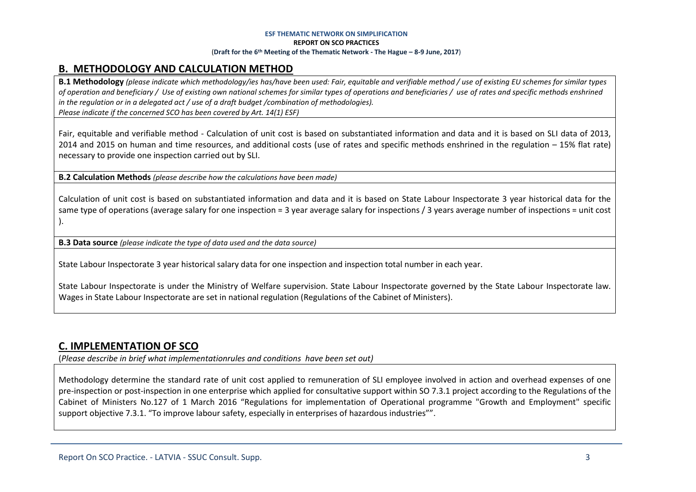### **ESF THEMATIC NETWORK ON SIMPLIFICATION REPORT ON SCO PRACTICES** (**Draft for the 6th Meeting of the Thematic Network - The Hague – 8-9 June, 2017**)

## **B. METHODOLOGY AND CALCULATION METHOD**

**B.1 Methodology** *(please indicate which methodology/ies has/have been used: Fair, equitable and verifiable method / use of existing EU schemes for similar types of operation and beneficiary / Use of existing own national schemes for similar types of operations and beneficiaries / use of rates and specific methods enshrined in the regulation or in a delegated act / use of a draft budget /combination of methodologies). Please indicate if the concerned SCO has been covered by Art. 14(1) ESF)*

Fair, equitable and verifiable method - Calculation of unit cost is based on substantiated information and data and it is based on SLI data of 2013, 2014 and 2015 on human and time resources, and additional costs (use of rates and specific methods enshrined in the regulation – 15% flat rate) necessary to provide one inspection carried out by SLI.

**B.2 Calculation Methods** *(please describe how the calculations have been made)*

Calculation of unit cost is based on substantiated information and data and it is based on State Labour Inspectorate 3 year historical data for the same type of operations (average salary for one inspection = 3 year average salary for inspections / 3 years average number of inspections = unit cost ).

**B.3 Data source** *(please indicate the type of data used and the data source)*

State Labour Inspectorate 3 year historical salary data for one inspection and inspection total number in each year.

State Labour Inspectorate is under the Ministry of Welfare supervision. State Labour Inspectorate governed by the State Labour Inspectorate law. Wages in State Labour Inspectorate are set in national regulation (Regulations of the Cabinet of Ministers).

### **C. IMPLEMENTATION OF SCO**

(*Please describe in brief what implementationrules and conditions have been set out)*

Methodology determine the standard rate of unit cost applied to remuneration of SLI employee involved in action and overhead expenses of one pre-inspection or post-inspection in one enterprise which applied for consultative support within SO 7.3.1 project according to the Regulations of the Cabinet of Ministers No.127 of 1 March 2016 "Regulations for implementation of Operational programme "Growth and Employment" specific support objective 7.3.1. "To improve labour safety, especially in enterprises of hazardous industries"".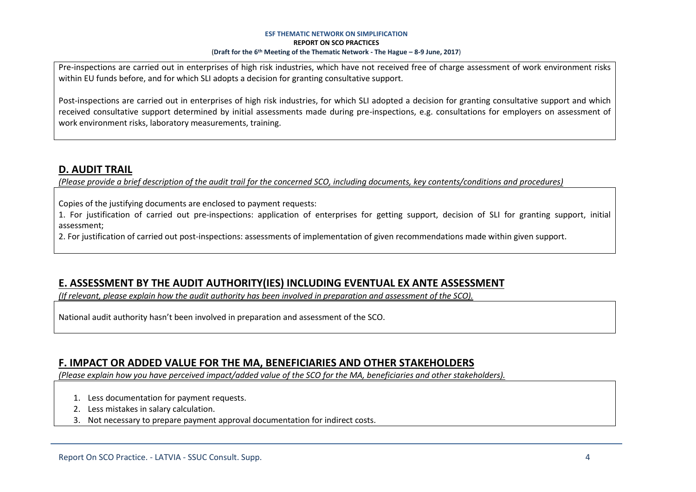### **ESF THEMATIC NETWORK ON SIMPLIFICATION REPORT ON SCO PRACTICES** (**Draft for the 6th Meeting of the Thematic Network - The Hague – 8-9 June, 2017**)

Pre-inspections are carried out in enterprises of high risk industries, which have not received free of charge assessment of work environment risks within EU funds before, and for which SLI adopts a decision for granting consultative support.

Post-inspections are carried out in enterprises of high risk industries, for which SLI adopted a decision for granting consultative support and which received consultative support determined by initial assessments made during pre-inspections, e.g. consultations for employers on assessment of work environment risks, laboratory measurements, training.

## **D. AUDIT TRAIL**

*(Please provide a brief description of the audit trail for the concerned SCO, including documents, key contents/conditions and procedures)*

Copies of the justifying documents are enclosed to payment requests:

1. For justification of carried out pre-inspections: application of enterprises for getting support, decision of SLI for granting support, initial assessment;

2. For justification of carried out post-inspections: assessments of implementation of given recommendations made within given support.

## **E. ASSESSMENT BY THE AUDIT AUTHORITY(IES) INCLUDING EVENTUAL EX ANTE ASSESSMENT**

*(If relevant, please explain how the audit authority has been involved in preparation and assessment of the SCO).* 

National audit authority hasn't been involved in preparation and assessment of the SCO.

### **F. IMPACT OR ADDED VALUE FOR THE MA, BENEFICIARIES AND OTHER STAKEHOLDERS**

*(Please explain how you have perceived impact/added value of the SCO for the MA, beneficiaries and other stakeholders).* 

- 1. Less documentation for payment requests.
- 2. Less mistakes in salary calculation.
- 3. Not necessary to prepare payment approval documentation for indirect costs.